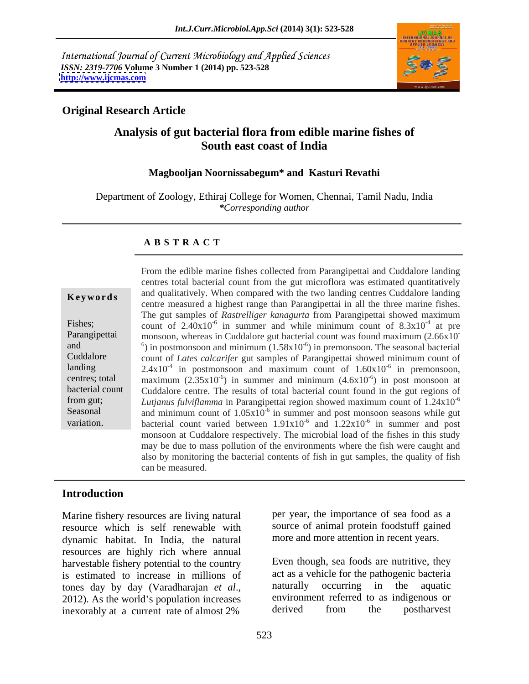International Journal of Current Microbiology and Applied Sciences *ISSN: 2319-7706* **Volume 3 Number 1 (2014) pp. 523-528 <http://www.ijcmas.com>**



### **Original Research Article**

# **Analysis of gut bacterial flora from edible marine fishes of South east coast of India**

### **Magbooljan Noornissabegum\* and Kasturi Revathi**

Department of Zoology, Ethiraj College for Women, Chennai, Tamil Nadu, India *\*Corresponding author*

### **A B S T R A C T**

| Keywords |  |
|----------|--|
|----------|--|

**Keywords** and qualitatively. When compared with the two landing centres Cuddalore landing Fishes; count of  $2.40x10^{-6}$  in summer and while minimum count of  $8.3x10^{-4}$  at pre Parangipettai monsoon, whereas in Cuddalore gut bacterial count was found maximum (2.66x10) and  $\frac{6}{2}$  in postmonsoon and minimum  $(1.58 \times 10^{-6})$  in premonsoon. The seasonal bacterial Cuddalore count of *Lates calcarifer* gut samples of Parangipettai showed minimum count of landing  $2.4 \times 10^{-4}$  in postmonsoon and maximum count of  $1.60 \times 10^{-6}$  in premonsoon, centres; total maximum  $(2.35 \times 10^{-6})$  in summer and minimum  $(4.6 \times 10^{-6})$  in post monsoon at bacterial count Cuddalore centre. The results of total bacterial count found in the gut regions of from gut; *Lutjanus fulviflamma* in Parangipettai region showed maximum count of 1.24x10 Seasonal and minimum count of  $1.05 \times 10^{-6}$  in summer and post monsoon seasons while gut Erom the edible marine fishes collected from Parangipettai and Cuddalore landing<br>
centres total bacterial count from the gut microflora was estimated quantitatively<br> **Keywords** and qualitatively. When compared with the tw centres total bacterial count from the gut microflora was estimated quantitatively centre measured a highest range than Parangipettai in all the three marine fishes. The gut samples of *Rastrelliger kanagurta* from Parangipettai showed maximum  $-4$  of pro at pre **-** Construction of the construction  $-6$  in promongoon in premonsoon, ) in post monsoon at -6 bacterial count varied between  $1.91 \times 10^{-6}$  and  $1.22 \times 10^{-6}$  in summer and post in summer and post monsoon at Cuddalore respectively. The microbial load of the fishes in this study may be due to mass pollution of the environments where the fish were caught and also by monitoring the bacterial contents of fish in gut samples, the quality of fish can be measured.

## **Introduction**

Marine fishery resources are living natural resource which is self renewable with dynamic habitat. In India, the natural resources are highly rich where annual harvestable fishery potential to the country is estimated to increase in millions of act as a vehicle for the pathogenic bacteria<br>tones day by day (Varadharaian *et al* alumaturally occurring in the aquatic inexorably at a current rate of almost 2% derived from the postharvest

per year, the importance of sea food as a source of animal protein foodstuff gained more and more attention in recent years.

tones day by day (Varadharajan *et al.*, and haturally occurring in the aquatic 2012). As the world's population increases environment referred to as indigenous or Even though, sea foods are nutritive, they act as a vehicle for the pathogenic bacteria naturally occurring in the aquatic environment referred to as indigenous or derived from the postharvest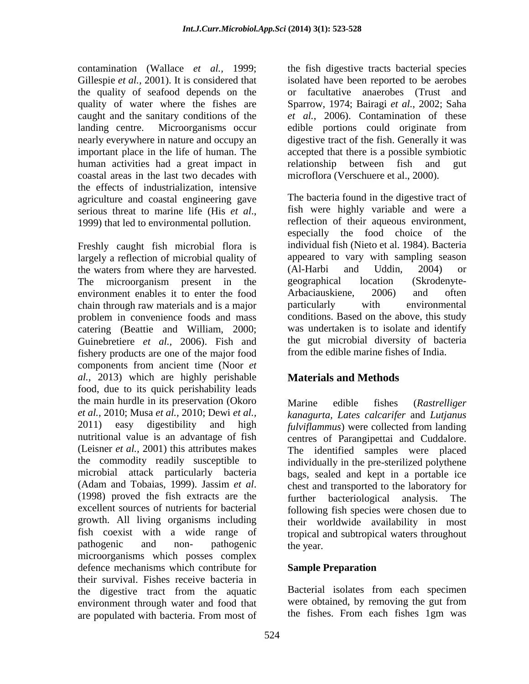the quality of seafood depends on the human activities had a great impact in error alationship between fish and gut coastal areas in the last two decades with the effects of industrialization, intensive agriculture and coastal engineering gave

Freshly caught fish microbial flora is largely a reflection of microbial quality of appeared to vary with sampling season<br>the waters from where they are harvested. (Al-Harbi and Uddin, 2004) or the waters from where they are harvested. The microorganism present in the geographical location (Skrodenyteenvironment enables it to enter the food chain through raw materials and is a major problem in convenience foods and mass catering (Beattie and William, 2000; Guinebretiere *et al.,* 2006). Fish and fishery products are one of the major food components from ancient time (Noor *et al.,* 2013) which are highly perishable food, due to its quick perishability leads the main hurdle in its preservation (Okoro Marine edible fishes (Rastrelliger *et al.,* 2010; Musa *et al.,* 2010; Dewi *et al.,*  2011) easy digestibility and high *fulviflammus*) were collected from landing nutritional value is an advantage of fish centres of Parangipettai and Cuddalore. (Leisner *et al.,* 2001) this attributes makes the commodity readily susceptible to individually in the pre-sterilized polythene microbial attack particularly bacteria bags, sealed and kept in a portable ice (Adam and Tobaias, 1999). Jassim *et al*. (1998) chest and transported to the laboratory for (1998) proved the fish extracts are the further bacteriological analysis. The excellent sources of nutrients for bacterial following fish species were chosen due to growth. All living organisms including their worldwide availability in most fish coexist with a wide range of tropical and subtropical waters throughout pathogenic and non- pathogenic the year. microorganisms which posses complex defence mechanisms which contribute for **Sample Preparation** their survival. Fishes receive bacteria in the digestive tract from the aquatic absolute Bacterial isolates from each specimen<br>environment through water and food that were obtained, by removing the gut from environment through water and food that were obtained, by removing the gut from are populated with bacteria From most of the fishes. From each fishes 1gm was are populated with bacteria. From most of the fishes. From each fishes 1gm was

contamination (Wallace *et al.,* 1999; the fish digestive tracts bacterial species Gillespie *et al.*, 2001). It is considered that isolated have been reported to be aerobes quality of water where the fishes are Sparrow, 1974; Bairagi *et al.*, 2002; Saha caught and the sanitary conditions of the *et al.*, 2006). Contamination of these landing centre. Microorganisms occur edible portions could originate from nearly everywhere in nature and occupy an digestive tract of the fish. Generally it was important place in the life of human. The accepted that there is a possible symbiotic or facultative anaerobes (Trust and relationship between fish microflora (Verschuere et al., 2000).

serious threat to marine life (His *et al.*,<br>1999) that led to environmental pollution. The reflection of their aqueous environment, The bacteria found in the digestive tract of fish were highly variable and were a reflection of their aqueous environment, especially the food choice of the individual fish (Nieto et al. 1984). Bacteria appeared to vary with sampling season (Al-Harbi and Uddin, 2004) or geographical location (Skrodenyte- Arbaciauskiene, 2006) and often particularly with environmental conditions. Based on the above, this study was undertaken is to isolate and identify the gut microbial diversity of bacteria from the edible marine fishes of India.

# **Materials and Methods**

Marine edible fishes (*Rastrelliger kanagurta, Lates calcarifer* and *Lutjanus* The identified samples were placed chest and transported to the laboratory for further bacteriological analysis. The the year.

# **Sample Preparation**

Bacterial isolates from each specimen were obtained, by removing the gut from the fishes. From each fishes 1gm was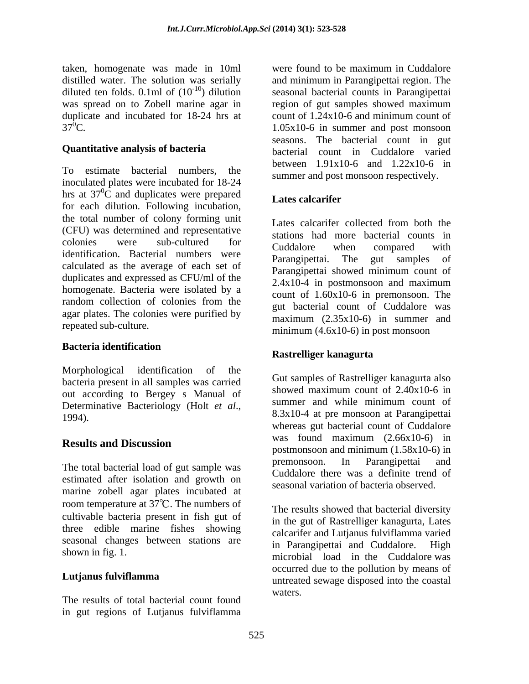taken, homogenate was made in 10ml were found to be maximum in Cuddalore distilled water. The solution was serially and minimum in Parangipettai region. The was spread on to Zobell marine agar in region of gut samples showed maximum<br>duplicate and incubated for 18-24 hrs at count of 1.24x10-6 and minimum count of duplicate and incubated for 18-24 hrs at

To estimate bacterial numbers, the inoculated plates were incubated for 18-24 hrs at  $37\degree$ C and duplicates were prepared  $\blacksquare$  atos colonitor for each dilution. Following incubation,<br>for each dilution. Following incubation, the total number of colony forming unit (CFU) was determined and representative  $\frac{\text{codim}}{\text{codim}}$  and  $\frac{\text{codim}}{\text{codim}}$  compared with Ecolonies were sub-cultured for Cuddalore when compared with<br>identification. Bacterial numbers were Parangipettai. The gut samples of calculated as the average of each set of duplicates and expressed as CFU/ml of the<br>2.4x10-4 in postmonsoon and maximum homogenate. Bacteria were isolated by a random collection of colonies from the agar plates. The colonies were purified by

### **Bacteria identification**

Morphological identification of the and the series of the series of the series of the series of the series of the series of the series of the series of the series of the series of the series of the series of the series of bacteria present in all samples was carried<br>showed maximum count of 2.40x10-6 in out according to Bergey s Manual of showed maximum count of  $2.40x10-6$  in<br>Determinative Bacteriology (Holt *et al.*, summer and while minimum count of

estimated after isolation and growth on marine zobell agar plates incubated at room temperature at  $37^{\circ}$ C. The numbers of cultivable bacteria present in fish gut of three edible marine fishes showing seasonal changes between stations are  $\frac{1}{2}$  in Parangipettai and Cuddalore. High

The results of total bacterial count found in gut regions of Lutjanus fulviflamma

distilled water. The solution was serially and minimum in Parangipettai region. The diluted ten folds.  $0.1$ ml of  $(10^{-10})$  dilution seasonal bacterial counts in Parangipettai  $37^{\circ}$ C. 1.05x10-6 in summer and post monsoon **Quantitative analysis of bacteria** bacterial count in Cuddalore varied were found to be maximum in Cuddalore region of gut samples showed maximum count of 1.24x10-6 and minimum count of seasons. The bacterial count in gut between 1.91x10-6 and 1.22x10-6 in summer and post monsoon respectively.

## **Lates calcarifer**

repeated sub-culture.<br>  $\frac{\text{maximum (4.6x10-6)} \text{ in post monsoon}}{\text{minimum (4.6x10-6)}}$ Lates calcarifer collected from both the stations had more bacterial counts in Cuddalore when compared with Parangipettai. The gut samples of Parangipettai showed minimum count of 2.4x10-4 in postmonsoon and maximum count of 1.60x10-6 in premonsoon. The gut bacterial count of Cuddalore was maximum (2.35x10-6) in summer and

### **Rastrelliger kanagurta**

Determinative Bacteriology (Holt *et al.*,<br>1994). <sup>8.3x10-4 at pre monsoon at Parangipettai</sup> **Results and Discussion** The total bacterial load of gut sample was premonsoon. In Parangipettai and Gut samples of Rastrelliger kanagurta also showed maximum count of 2.40x10-6 in summer and while minimum count of 8.3x10-4 at pre monsoon at Parangipettai whereas gut bacterial count of Cuddalore<br>was found maximum (2.66x10-6) in was found maximum (2.66x10-6) in postmonsoon and minimum (1.58x10-6) in premonsoon. In Parangipettai and Cuddalore there was a definite trend of seasonal variation of bacteria observed.

shown in fig. 1. The contract of the cuballor of the cuballor of the cuballor of the cuballor of the cuballor of the cuballor of the cuballor of the cuballor of the cuballor of the cuballor of the cuballor of the cuballor **Lutjanus fulviflamma** and the contracted sewage disposed into the coastal The results showed that bacterial diversity in the gut of Rastrelliger kanagurta, Lates calcarifer and Lutjanus fulviflamma varied in Parangipettai and Cuddalore. occurred due to the pollution by means of waters.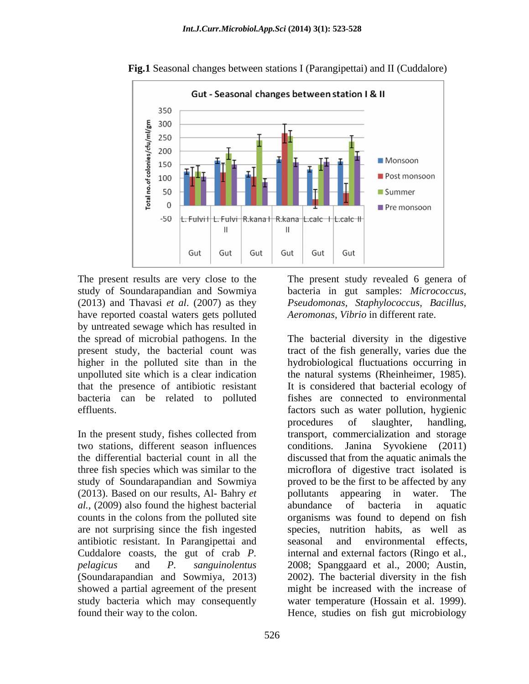

**Fig.1** Seasonal changes between stations I (Parangipettai) and II (Cuddalore)

The present results are very close to the The present study revealed 6 genera of study of Soundarapandian and Sowmiya bacteria in gut samples: *Micrococcus,*  (2013) and Thavasi *et al*. (2007) as they *Pseudomonas, Staphylococcus, Bacillus,* have reported coastal waters gets polluted by untreated sewage which has resulted in that the presence of antibiotic resistant

In the present study, fishes collected from two stations, different season influences (2013). Based on our results, Al- Bahry *et al.,* (2009) also found the highest bacterial are not surprising since the fish ingested antibiotic resistant. In Parangipettai and found their way to the colon. Hence, studies on fish gut microbiology

*Aeromonas, Vibrio* in different rate.

the spread of microbial pathogens. In the The bacterial diversity in the digestive present study, the bacterial count was tract of the fish generally, varies due the higher in the polluted site than in the hydrobiological fluctuations occurring in unpolluted site which is a clear indication the natural systems (Rheinheimer, 1985). bacteria can be related to polluted fishes are connected to environmental effluents. factors such as water pollution, hygienic the differential bacterial count in all the discussed that from the aquatic animals the three fish species which was similar to the microflora of digestive tract isolated is study of Soundarapandian and Sowmiya proved to be the first to be affected by any counts in the colons from the polluted site organisms was found to depend on fish Cuddalore coasts, the gut of crab *P.*  internal and external factors (Ringo et al., *pelagicus* and *P. sanguinolentus* 2008; Spanggaard et al., 2000; Austin, (Soundarapandian and Sowmiya, 2013) 2002). The bacterial diversity in the fish showed a partial agreement of the present might be increased with the increase of study bacteria which may consequently water temperature (Hossain et al. 1999). It is considered that bacterial ecology of procedures of slaughter, handling, transport, commercialization and storage Janina Syvokiene (2011) pollutants appearing in water. The abundance of bacteria in aquatic species, nutrition habits, as well as environmental effects,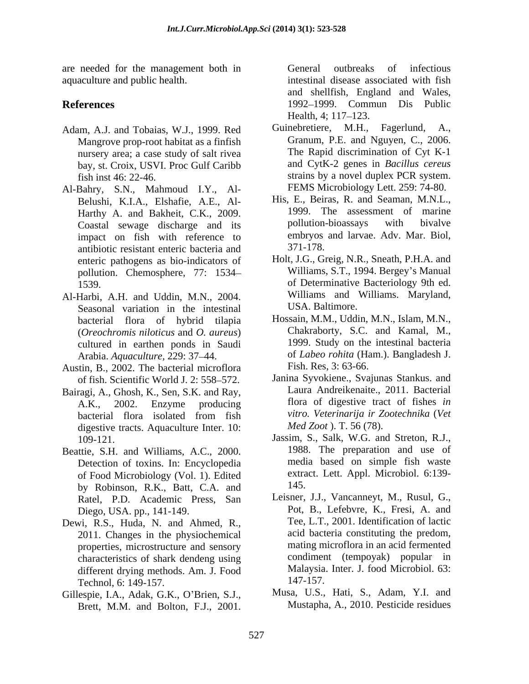are needed for the management both in aquaculture and public health. intestinal disease associated with fish

- Mangrove prop-root habitat as a finfish nursery area; a case study of salt rivea bay, st. Croix, USVI. Proc Gulf Caribb
- Al-Bahry, S.N., Mahmoud I.Y., Al- Belushi, K.I.A., Elshafie, A.E., Al- Coastal sewage discharge and its impact on fish with reference to embryos<br>antibiotic resistant enteric bacteria and 371-178. antibiotic resistant enteric bacteria and enteric pathogens as bio-indicators of pollution. Chemosphere, 77: 1534 need for the numigron<br>enterror by the same of the control outbreaks of infectious resulted and Nilson<br>methanic Distribute and Substitute and Values,  $197-199$ ,  $10^{10}$ ,  $110^{10}$ ,  $110^{10}$ ,  $110^{10}$ ,  $110^{10}$ ,  $110^{10$
- Al-Harbi, A.H. and Uddin, M.N., 2004. Seasonal variation in the intestinal bacterial flora of hybrid tilapia (*Oreochromis niloticus* and *O. aureus*) cultured in earthen ponds in Saudi Arabia. *Aquaculture,* 229: 37 44.
- Austin, B., 2002. The bacterial microflora of fish. Scientific World J. 2: 558-572.
- Bairagi, A., Ghosh, K., Sen, S.K. and Ray, digestive tracts. Aquaculture Inter. 10:
- Beattie, S.H. and Williams, A.C., 2000. Detection of toxins. In: Encyclopedia of Food Microbiology (Vol. 1). Edited by Robinson, R.K., Batt, C.A. and Ratel, P.D. Academic Press, San
- Dewi, R.S., Huda, N. and Ahmed, R., 2011. Changes in the physiochemical properties, microstructure and sensory characteristics of shark dendeng using different drying methods. Am. J. Food Malaysia.<br>Technol 6: 149-157. 147-157. Technol, 6: 149-157.
- Gillespie, I.A., Adak, G.K., O'Brien, S.J.,

**References** 1992–1999. Commun Dis Public and shellfish, England and Wales, Health,  $4$ ;  $117-123$ .

- Adam, A.J. and Tobaias, W.J., 1999. Red Guinebretiere, M.H., Fagerlund, A., fish inst 46: 22-46. strains by a novel duplex PCR system. Guinebretiere, M.H., Fagerlund, A., Granum, P.E. and Nguyen, C., 2006. The Rapid discrimination of Cyt K-1 and CytK-2 genes in *Bacillus cereus* FEMS Microbiology Lett. 259: 74-80.
	- Harthy A. and Bakheit, C.K., 2009. 1999. The assessment of marine<br>Coastal sewage discharge and its appllution-bioassays with bivalve His, E., Beiras, R. and Seaman, M.N.L., 1999. The assessment of marine pollution-bioassays with bivalve embryos and larvae. Adv. Mar. Biol, 371-178.
	- 1539. of Determinative Bacteriology 9th ed. Holt, J.G., Greig, N.R., Sneath, P.H.A. and Williams, S.T., 1994. Bergey's Manual Williams and Williams. Maryland, USA. Baltimore.
		- Hossain, M.M., Uddin, M.N., Islam, M.N., Chakraborty, S.C. and Kamal, M., 1999. Study on the intestinal bacteria of *Labeo rohita* (Ham.). Bangladesh J. Fish. Res, 3: 63-66.
	- A.K., 2002. Enzyme producing flora of digestive tract of fishes *in*  bacterial flora isolated from fish *vitro. Veterinarija ir Zootechnika* (*Vet* Janina Syvokiene., Svajunas Stankus. and Laura Andreikenaite., 2011. Bacterial *vitro. Veterinarija ir Zootechnika* (*Vet Med Zoot* ). T. 56 (78).
	- 109-121. Jassim, S., Salk, W.G. and Streton, R.J., 1988. The preparation and use of media based on simple fish waste extract. Lett. Appl. Microbiol. 6:139- 145.
	- Diego, USA. pp., 141-149. Pot, B., Lefebvre, K., Fresi, A. and Leisner, J.J., Vancanneyt, M., Rusul, G., Tee, L.T., 2001. Identification of lactic acid bacteria constituting the predom, mating microflora in an acid fermented condiment (tempoyak) popular in Malaysia. Inter. J. food Microbiol. 63: 147-157.
		- Musa, U.S., Hati, S., Adam, Y.I. and Mustapha, A., 2010. Pesticide residues